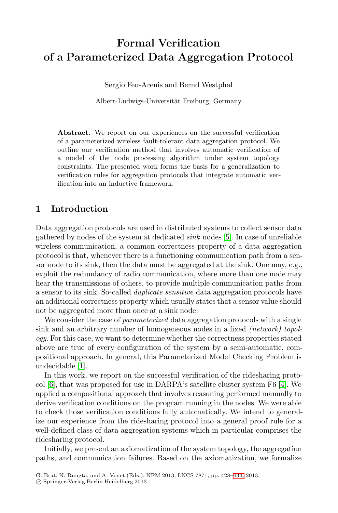# **Formal Verification of a Parameterized Data Aggregation Protocol**

Sergio Feo-Arenis and Bernd Westphal

Albert-Ludwigs-Universität Freiburg, Germany

**Abstract.** We report on our experiences on the successful verification of a parameterized wireless fault-tolerant data aggregation protocol. We outline our verification method that involves automatic verification of a model of the node processing algorithm under system topology constraints. The presented work f[orm](#page-6-0)s the basis for a generalization to verification rules for aggregation protocols that integrate automatic verification into an inductive framework.

# **1 Introduction**

Data aggregation protocols are used in distributed systems to collect sensor data gathered by nodes of the system at dedicated *sink* nodes [5]. In case of unreliable wireless communication, a common correctness property of a data aggregation protocol is that, whenever there is a functioning communication path from a sensor node to its sink, then the data must be aggregated at the sink. One may, e.g., exploit the redundancy of radio communication, where more than one node may hear the transmissions of others, to provide multiple communication paths from a sensor to its sink. So-called *duplicate sensitive* data aggregation protocols have an additional correctness property which usually states that a sensor value should not be aggregated more than once at a sink node.

We consider the case of *parameterized* data aggregati[on](#page-6-1) protocols with a single sink and an arbitrary number of homogeneous nodes in a fixed *(network) topology*. For this case, we want to determine whether the correctness properties stated above are true of every configuration of the system by a semi-automatic, compositional approach. In general, this Parameterized Model Checking Problem is undecidable [1].

In this work, we report on the successful verification of the ridesharing protocol [6], that was proposed for use in DARPA's satellite cluster system F6 [4]. We applied a compositional approach that involves reasoning performed manually to derive verification conditions on the prog[ram](#page-6-2) running in the nodes. We were able to check those verification conditions fully automatically. We intend to generalize our experience from the ridesharing protocol into a general proof rule for a well-defined class of data aggregation systems which in particular comprises the ridesharing protocol.

Initially, we present an axiomatization of the system topology, the aggregation paths, and communication failures. Based on the axiomatization, we formalize

G. Brat, N. Rungta, and A. Venet (Eds.): NFM 2013, LNCS 7871, pp. 428–434, 2013.

<sup>-</sup>c Springer-Verlag Berlin Heidelberg 2013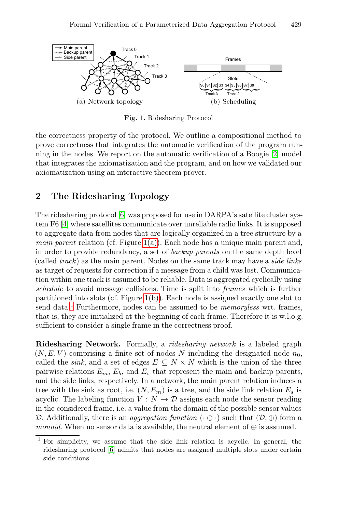<span id="page-1-2"></span><span id="page-1-1"></span><span id="page-1-0"></span>

**Fig. 1.** Ridesharing Protocol

the correctness property of the protocol. We outline a compositional method to prove [cor](#page-6-4)rectness that integrates the automatic verification of the program running in the nodes. We report on the automatic verification of a Boogie [2] model that integrates the axiomatization and the program, and on how we validated our axiomatizatio[n usin](#page-1-0)g an interactive theorem prover.

# **2 The Ridesharing Topology**

The ridesharing protocol [6] was proposed for use in DARPA's satellite cluster system F6 [4] whe[re sat](#page-1-1)ellites communicate over unreliable radio links. It is supposed to aggregate data from nodes that are logically organized in a tree structure by a *main parent* relation (cf. Figure 1(a)). Each node has a unique main parent and, in order to provide redundancy, a set of *backup parents* on the same depth level (called *track*) as the main parent. Nodes on the same track may have a *side links* as target of requests for correction if a message from a child was lost. Communication within one track is assumed to be reliable. Data is aggregated cyclically using *schedule* to avoid message collisions. Time is split into *frames* which is further partitioned into slots (cf. Figure  $1(b)$ ). Each node is assigned exactly one slot to send data.<sup>1</sup> Furthermore, nodes can be assumed to be *memoryless* wrt. frames, that is, they are initialized at the beginning of each frame. Therefore it is w.l.o.g. sufficient to consider a single frame in the correctness proof.

**Ridesharing Network.** Formally, a *ridesharing network* is a labeled graph  $(N, E, V)$  comprising a finite set of nodes N including the designated node  $n_0$ , called the *sink*, and a set of edges  $E \subseteq N \times N$  which is the union of the three pairwise relations  $E_m$ ,  $E_b$ , and  $E_s$  that represent the main and backup parents, and [th](#page-6-4)e side links, respectively. In a network, the main parent relation induces a tree with the sink as root, i.e.  $(N, E_m)$  is a tree, and the side link relation  $E_s$  is acyclic. The labeling function  $V : N \to \mathcal{D}$  assigns each node the sensor reading in the considered frame, i.e. a value from the domain of the possible sensor values D. Additionally, there is an *aggregation function*  $(\cdot \oplus \cdot)$  such that  $(\mathcal{D}, \oplus)$  form a *monoid*. When no sensor data is available, the neutral element of  $\oplus$  is assumed.

<sup>1</sup> For simplicity, we assume that the side link relation is acyclic. In general, the ridesharing protocol [6] admits that nodes are assigned multiple slots under certain side conditions.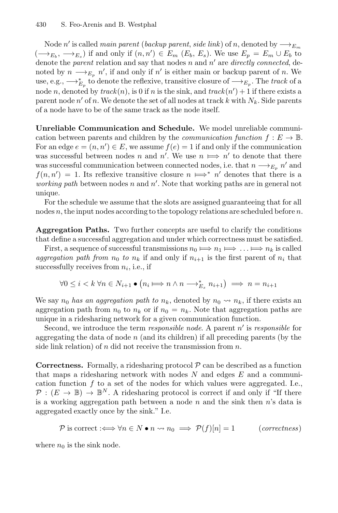Node n' is called *main parent* (*backup parent*, *side link*) of n, denoted by  $\longrightarrow_{E_m}$  $(\longrightarrow_{E_b}, \longrightarrow_{E_s})$  if and only if  $(n, n') \in E_m$  ( $E_b, E_s$ ). We use  $E_p = E_m \cup E_b$  to denote the *parent* relation and say that nodes n and  $n'$  are *directly connected*, denoted by  $n \longrightarrow_{E_p} n'$ , if and only if  $n'$  is either main or backup parent of n. We use, e.g.,  $\longrightarrow_{E_p}^*$  to denote the reflexive, transitive closure of  $\longrightarrow_{E_p}$ . The *track* of a node n, denoted by  $track(n)$ , is 0 if n is the sink, and  $track(n') + 1$  if there exists a parent node n' of n. We denote the set of all nodes at track k with  $N_k$ . Side parents of a node have to be of the same track as the node itself.

**Unreliable Communication and Schedule.** We model unreliable communication between parents and children by the *communication function*  $f: E \to \mathbb{B}$ . For an edge  $e = (n, n') \in E$ , we assume  $f(e) = 1$  if and only if the communication was successful between nodes n and n'. We use  $n \implies n'$  to denote that there was successful communication between connected nodes, i.e. that  $n \longrightarrow_{E_p} n'$  and  $f(n, n') = 1$ . Its reflexive transitive closure  $n \mapsto n'$  denotes that there is a working path between nodes n and n'. Note that working paths are in general not unique.

For the schedule we assume that the slots are assigned guaranteeing that for all nodes n, the input nodes according to the topology relations are scheduled before n.

**Aggregation Paths.** Two further concepts are useful to clarify the conditions that define a successful aggregation and under which correctness must be satisfied.

First, a sequence of successful transmissions  $n_0 \mapsto n_1 \mapsto \ldots \mapsto n_k$  is called *aggregation path from*  $n_0$  to  $n_k$  if and only if  $n_{i+1}$  is the first parent of  $n_i$  that successfully receives from  $n_i$ , i.e., if

$$
\forall 0 \leq i < k \,\forall n \in N_{i+1} \bullet (n_i \Longleftrightarrow n \land n \longrightarrow_{E_s}^* n_{i+1}) \implies n = n_{i+1}
$$

We say  $n_0$  *has an aggregation path to*  $n_k$ , denoted by  $n_0 \leadsto n_k$ , if there exists an aggregation path from  $n_0$  to  $n_k$  or if  $n_0 = n_k$ . Note that aggregation paths are unique in a ridesharing network for a given communication function.

Second, we introduce the term *responsible node*. A parent n' is *responsible* for aggregating the data of node  $n$  (and its children) if all preceding parents (by the side link relation) of n did not receive the transmission from  $n$ .

**Correctness.** Formally, a ridesharing protocol  $P$  can be described as a function that maps a ridesharing network with nodes  $N$  and edges  $E$  and a communication function  $f$  to a set of the nodes for which values were aggregated. I.e.,  $\mathcal{P}: (E \to \mathbb{B}) \to \mathbb{B}^N$ . A ridesharing protocol is correct if and only if "If there is a working aggregation path between a node  $n$  and the sink then  $n$ 's data is aggregated exactly once by the sink." I.e.

$$
\mathcal{P} \text{ is correct} : \Longleftrightarrow \forall n \in N \bullet n \leadsto n_0 \implies \mathcal{P}(f)[n] = 1 \qquad (correctness)
$$

where  $n_0$  is the sink node.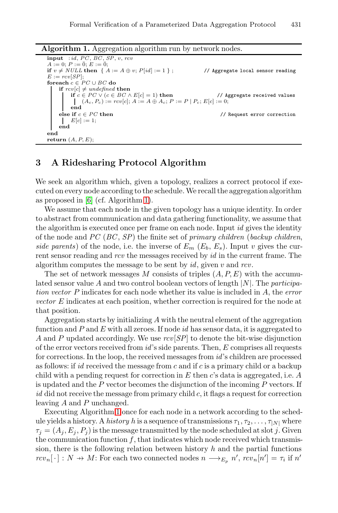<span id="page-3-1"></span><span id="page-3-0"></span>**Algorithm 1.** Aggregation algorithm run by network nodes. **input** :*id*, *PC* , *BC* , *SP*, v, *rcv*  $A := 0; P := \overline{0}; E := \overline{0};$ **if**  $v \neq NULL$  **then** {  $A := A \oplus v$ ;  $P[id] := 1$  }; // Aggregate local sensor reading  $E := rev[SP];$  $c \in \boldsymbol{P}C \cup BC$ do **if**  $rcv[c] \neq undefind$  **then if**  $c \in PC \vee (c \in BC \wedge E[c] = 1)$  **then** // Aggregate received values ( $\overrightarrow{A}$   $\overrightarrow{c}$   $\in$   $PC \vee$   $(c \in BC \wedge E[c] = 1)$  then <br>  $(A_c, P_c) := rev[c];$   $A := A \oplus A_c;$   $P := P | P_c; E[c] := 0;$ <br>  $(A_c, P_c) := cv[c];$   $A := A \oplus A_c;$   $P := P | P_c; E[c] := 0;$ **end else if**  $c \in PC$  **then** // Request error correction // Request error correction  $E[c] := 1;$ **end end**  $return (A, P, E);$ 

# **3 A Ridesharing Protocol Algorithm**

We seek an algorithm which, given a topology, realizes a correct protocol if executed on every node according to the schedule.We recall the aggregation algorithm as proposed in [6] (cf. Algorithm 1).

We assume that each node in the given topology has a unique identity. In order to abstract from communication and data gathering functionality, we assume that the algorithm is executed once per frame on each node. Input *id* gives the identity of the node and *PC* (*BC* , *SP*) the finite set of *primary children* (*backup children*, *side parents*) of the node, i.e. the inverse of  $E_m$  ( $E_b$ ,  $E_s$ ). Input v gives the current sensor reading and *rcv* the messages received by *id* in the current frame. The algorithm computes the message to be sent by *id*, given v and *rcv*.

The set of network messages M consists of triples  $(A, P, E)$  with the accumulated sensor value A and two control boolean vectors of length |N|. The *participation vector* P indicates for each node whether its value is included in A, the *error vector* E indicates at each position, whether correction is required for the node at that position.

Aggregation starts by initializing A with the neutral element of the aggregation function and P and E with all zeroes. If node *id* has sensor data, it is aggregated to A and [P](#page-3-0) updated accordingly. We use *rcv* [*SP*] to denote the bit-wise disjunction of the error vectors received from *id*'s side parents. Then, E comprises all requests for corrections. In the loop, the received messages from *id*'s children are processed as follows: if *id* received the message from c and if c is a primary child or a backup child with a pending request for correction in  $E$  then  $c$ 's data is aggregated, i.e.  $A$ is updated and the  $P$  vector becomes the disjunction of the incoming  $P$  vectors. If  $id$  did not receive the message from primary child  $c$ , it flags a request for correction leaving A and P unchanged.

Executing Algorithm 1 once for each node in a network according to the schedule yields a history. A *history* h is a sequence of transmissions  $\tau_1, \tau_2, \ldots, \tau_{|N|}$  where  $\tau_i = (A_i, E_i, P_i)$  is the message transmitted by the node scheduled at slot j. Given the communication function  $f$ , that indicates which node received which transmission, there is the following relation between history  $h$  and the partial functions  $rcv_n[\cdot]: N \to M$ : For each two connected nodes  $n \longrightarrow_{E_p} n'$ ,  $rcv_n[n'] = \tau_i$  if  $n'$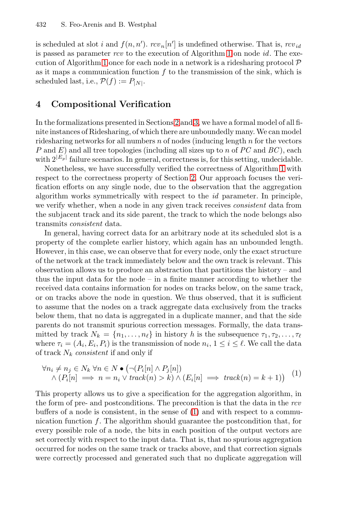is scheduled at slot *i* and  $f(n, n')$ .  $rcv_n[n']$  is undefined otherwise. That is,  $rcv_{ia}$ is passed as parameter *[rcv](#page-1-2)* to [th](#page-3-1)e execution of Algorithm 1 on node *id*. The execution of Algorithm 1 once for each node in a network is a ridesharing protocol  $\mathcal P$ as it maps a communication function  $f$  to the transmission of the sink, which is scheduled last, i.e.,  $\mathcal{P}(f) := P_{|N|}$ .

#### **4 Compositional V[eri](#page-1-2)fication**

In the formalizations presented in Sections 2 and 3, we have a formal model of all finite instances of Ridesharing, of which there are unboundedly many. We can model ridesharing networks for all numbers  $n$  of nodes (inducing length  $n$  for the vectors P and E) and all tree topologies (including all sizes up to n of *PC* and *BC* ), each with  $2^{|E_p|}$  failure scenarios. In general, correctness is, for this setting, undecidable.

Nonetheless, we have successfully verified the correctness of Algorithm 1 with respect to the correctness property of Section 2. Our approach focuses the verification efforts on any single node, due to the observation that the aggregation algorithm works symmetrically with respect to the *id* parameter. In principle, we verify whether, when a node in any given track receives *consistent* data from the subjacent track and its side parent, the track to which the node belongs also transmits *consistent* data.

<span id="page-4-0"></span>In general, having correct data for an arbitrary node at its scheduled slot is a property of the complete earlier history, which again has an unbounded length. However, in this case, we can observe that for every node, only the exact structure of the network at the track immediately below and the own track is relevant. This observation allows us to produce an abstraction that partitions the history – and thus the input data for the node – in a finite manner according to whether the received data contains information for nodes on tracks below, on the same track, or on tracks above the node in question. We thus observed, that it is sufficient to assume that the nodes on a track aggregate data exclusively from the tracks below them, that no data is aggregated in a duplicate manner, and that the side parents do not transmit spurious correction messages. Formally, the data transmitted by track  $N_k = \{n_1, \ldots, n_\ell\}$  in history h is the subsequence  $\tau_1, \tau_2, \ldots, \tau_\ell$ where  $\tau_i = (A_i, E_i, P_i)$  is the [tr](#page-4-0)ansmission of node  $n_i, 1 \leq i \leq \ell$ . We call the data of track N<sup>k</sup> *consistent* if and only if

$$
\forall n_i \neq n_j \in N_k \,\forall n \in N \bullet \left(\neg (P_i[n] \land P_j[n])\right) \land (P_i[n] \implies n = n_i \lor \text{track}(n) > k) \land (E_i[n] \implies \text{track}(n) = k + 1)\right) \tag{1}
$$

This property allows us to give a specification for the aggregation algorithm, in the form of pre- and postconditions. The precondition is that the data in the *rcv* buffers of a node is consistent, in the sense of (1) and with respect to a communication function  $f$ . The algorithm should guarantee the postcondition that, for every possible role of a node, the bits in each position of the output vectors are set correctly with respect to the input data. That is, that no spurious aggregation occurred for nodes on the same track or tracks above, and that correction signals were correctly processed and generated such that no duplicate aggregation will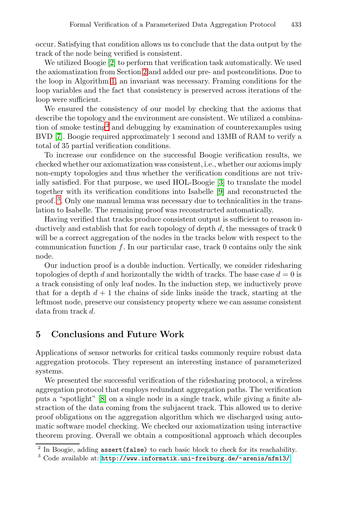occur. Satisfying that condition allows us to conclude that the data output by the tr[ack](#page-5-0) of the node being verified is consistent.

We utilized Boogie [2] to perform that verification task automatically. We used the axiomatization from Section 2 and added our pre- and postconditions. Due to the loop in Algorithm 1, an invariant was necessary. Framing conditions for the loop variables and the fact that consistency is preserved across iterations of the loop were sufficient.

We ensured the consistency of o[ur](#page-6-5) model by checking that the axioms that describe the topology and the enviro[nm](#page-6-6)ent are consistent. We utilized a combination of smoke testing<sup>2</sup> and debugging by examination of counterexamples using BVD [7]. Boogie required approximately 1 second and 13MB of RAM to verify a total of 35 partial verification conditions.

To increase our confidence on the successful Boogie verification results, we checked whether our axiomatization was consistent, i.e., whether our axioms imply non-empty topologies and thus whether the verification conditions are not trivially satisfied. For that purpose, we used HOL-Boogie [3] to translate the model together with its verification conditions into Isabelle [9] and reconstructed the proof. <sup>3</sup>. Only one manual lemma was necessary due to technicalities in the translation to Isabelle. The remaining proof was reconstructed automatically.

Having verified that tracks produce consistent output is sufficient to reason inductively and establish that for each topology of depth  $d$ , the messages of track 0 will be a correct aggregation of the nodes in the tracks below with respect to the communication function  $f$ . In our particular case, track 0 contains only the sink node.

Our induction proof is a double induction. Vertically, we consider ridesharing topologies of depth d and horizontally the width of tracks. The base case  $d = 0$  is a track consisting of only leaf nodes. In the induction step, we inductively prove that for a depth  $d + 1$  the chains of side links inside the track, starting at the leftmost node, preserve our consistency property where we can assume consistent data from track d.

# <span id="page-5-0"></span>**[5](#page-6-7) Conclusions and Future Work**

Applications of sensor networks for critical tasks commonly require robust data aggregation protocols. They represent an interesting instance of parameterized systems.

We presented the successful verification of the ridesharing protocol, a wireless a[ggregation protocol that employs redundant aggregation p](http://www.informatik.uni-freiburg.de/~arenis/nfm13/)aths. The verification puts a "spotlight" [8] on a single node in a single track, while giving a finite abstraction of the data coming from the subjacent track. This allowed us to derive proof obligations on the aggregation algorithm which we discharged using automatic software model checking. We checked our axiomatization using interactive theorem proving. Overall we obtain a compositional approach which decouples

 $\frac{2}{1}$  In Boogie, adding assert(false) to each basic block to check for its reachability.

<sup>3</sup> Code available at: http://www.informatik.uni-freiburg.de/~arenis/nfm13/